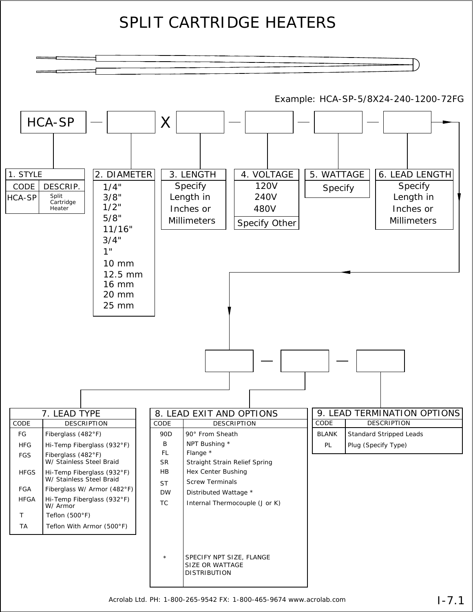## SPLIT CARTRIDGE HEATERS